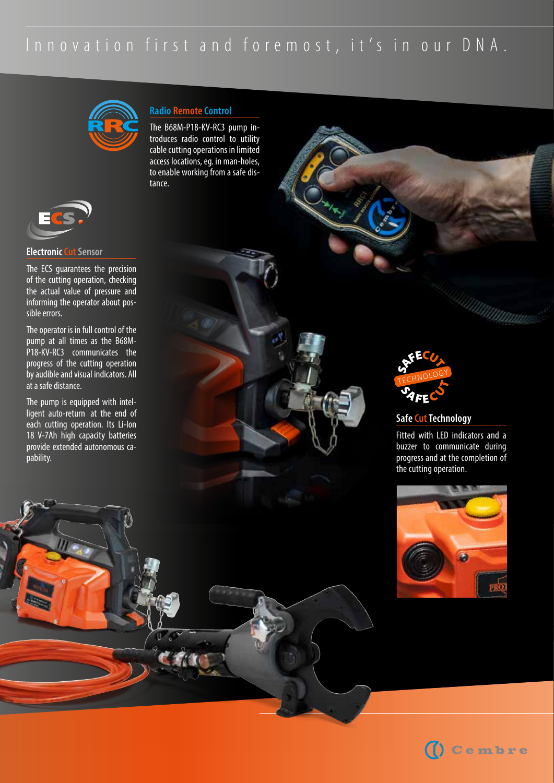## Innovation first and foremost, it's in our DNA.





#### **Electronic Cut Sensor**

The ECS guarantees the precision of the cutting operation, checking the actual value of pressure and informing the operator about possible errors.

The operator is in full control of the pump at all times as the B68M-P18-KV-RC3 communicates the progress of the cutting operation by audible and visual indicators. All at a safe distance.

The pump is equipped with intelligent auto-return at the end of each cutting operation. Its Li-Ion 18 V-7Ah high capacity batteries provide extended autonomous capability.

## **Radio Remote Control**

The B68M-P18-KV-RC3 pump introduces radio control to utility cable cutting operations in limited access locations, eg. in man-holes, to enable working from a safe distance.



#### **Safe Cut Technology**

Fitted with LED indicators and a buzzer to communicate during progress and at the completion of the cutting operation.



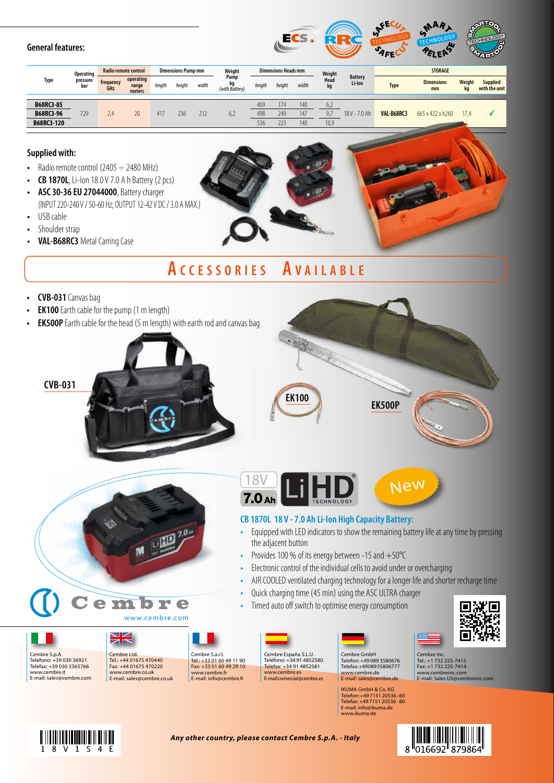## **General features:**



| <b>Type</b> | <b>Operating</b><br>pressure<br>bar | Radio remote control |                              | <b>Dimensions Pump mm</b> |        |       | Weight                       | <b>Dimensions Heads mm</b> |        |       | Weight     |                          | <b>STORAGE</b> |                         |                     |                                  |
|-------------|-------------------------------------|----------------------|------------------------------|---------------------------|--------|-------|------------------------------|----------------------------|--------|-------|------------|--------------------------|----------------|-------------------------|---------------------|----------------------------------|
|             |                                     | frequency<br>GHz     | operating<br>range<br>meters | length                    | height | width | Pump<br>kg<br>(with Battery) | length                     | height | width | Head<br>kq | <b>Battery</b><br>Li-Ion | <b>Type</b>    | <b>Dimensions</b><br>mm | <b>Weight</b><br>kg | <b>Supplied</b><br>with the unit |
|             |                                     |                      |                              |                           |        |       |                              |                            |        |       |            |                          |                |                         |                     |                                  |
| B68RC3-85   |                                     |                      |                              |                           |        |       |                              | 409                        | 174    | 140   | 6,2        |                          |                |                         |                     |                                  |
| B68RC3-96   | 729                                 | 2.4                  | 20                           | 417                       | 236    | 212   | 6,2                          | 498                        | 249    | 147   |            | 18 V - 7.0 Ah            | VAL-B68RC3     | 665 x 422 x h260        | 17.4                |                                  |
| B68RC3-120  |                                     |                      |                              |                           |        |       |                              | 536                        | 223    | 140   | 10,9       |                          |                |                         |                     |                                  |

#### **Supplied with:**

- Radio remote control  $(2405 \div 2480 \text{ MHz})$
- **CB 1870L**, Li-Ion 18.0 V 7.0 A h Battery (2 pcs)
- **ASC 30-36 EU 27044000**, Battery charger (INPUT 220-240 V / 50-60 Hz; OUTPUT 12-42 V DC / 3.0 A MAX.)
- USB cable
- Shoulder strap
- **VAL-B68RC3** Metal Carring Case

# **A c c e s s o r i e s A v a i l a b l e**

- **CVB-031** Canvas bag
- **EK100** Earth cable for the pump (1 m length)
- **EK500P** Earth cable for the head (5 m length) with earth rod and canvas bag





**CB 1870L 18 V - 7.0 Ah Li-Ion High Capacity Battery:**

• Provides 100 % of its energy between -15 and +50°C

• Quick charging time (45 min) using the ASC ULTRA charger Timed auto off switch to optimise energy consumption

• Electronic control of the individual cells to avoid under or overcharging







Telefono: +39 030 36921 Telefax: +39 030 3365766 www.cembre.it E-mail: sales@cembre.com





Cembre España S.L.U. Teléfono: +34 91 4852580 Telefax: +34 91 4852581 www.cembre.es E-mail: comercial@cembre.es

the adjacent button

18V

 $7.0<sub>Ah</sub>$ 



• Equipped with LED indicators to show the remaining battery life at any time by pressing

New

• AIR COOLED ventilated charging technology for a longer life and shorter recharge time

IKUMA GmbH & Co. KG Telefon: +49 7151 20536 - 60 Telefax: +49 7151 20536 - 80 E-mail: info@ikuma.de www.ikuma.de



Cembre Inc. Tel.: +1 732 225-7415 Fax: +1 732 225-7414 www.cembreinc.com E-mail: Sales.US@cembreinc.com

*Any other country, please contact Cembre S.p.A. - Italy*

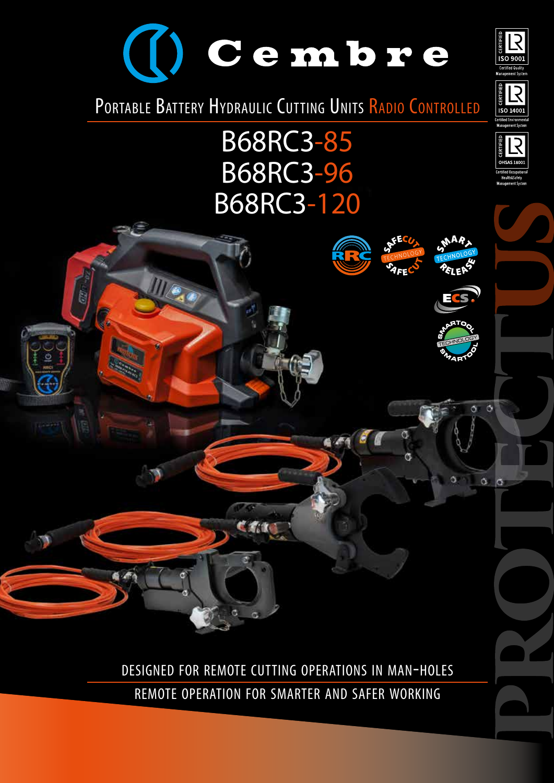



B68RC3-85 B68RC3-96 B68RC3-120



 $\epsilon$ 

 $6 - 476$ 



 $501400$ 



ö

Ø.

 $\alpha$ ō

designed for remote cutting operations in man-holes remote operation for smarter and safer working

**COMPANY**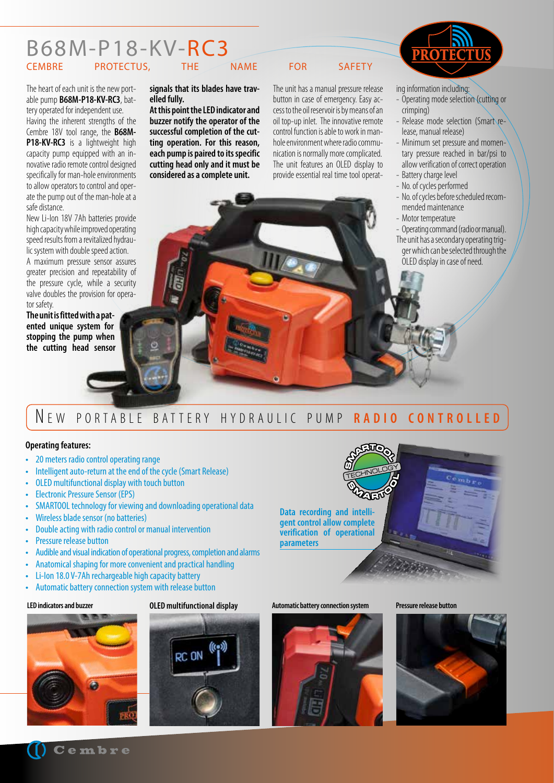## B68M-P18-KV-RC3 PROTECTUS, THE NAME FOR SAFETY

The heart of each unit is the new portable pump **B68M-P18-KV-RC3**, battery operated for independent use.

Having the inherent strengths of the Cembre 18V tool range, the **B68M-P18-KV-RC3** is a lightweight high capacity pump equipped with an innovative radio remote control designed specifically for man-hole environments to allow operators to control and operate the pump out of the man-hole at a safe distance.

New Li-Ion 18V 7Ah batteries provide high capacity while improved operating speed results from a revitalized hydraulic system with double speed action.

A maximum pressure sensor assures greater precision and repeatability of the pressure cycle, while a security valve doubles the provision for operator safety.

**The unit is fitted with a patented unique system for stopping the pump when the cutting head sensor**  **signals that its blades have travelled fully.** 

**At this point the LED indicator and buzzer notify the operator of the successful completion of the cutting operation. For this reason, each pump is paired to its specific cutting head only and it must be considered as a complete unit.** 

The unit has a manual pressure release button in case of emergency. Easy access to the oil reservoir is by means of an oil top-up inlet. The innovative remote control function is able to work in manhole environment where radio communication is normally more complicated. The unit features an OLED display to provide essential real time tool operat-



ing information including:

- Operating mode selection (cutting or crimping)
- Release mode selection (Smart release, manual release)
- Minimum set pressure and momentary pressure reached in bar/psi to allow verification of correct operation
- Battery charge level
- No. of cycles performed
- No. of cycles before scheduled recommended maintenance
- Motor temperature
- Operating command (radio or manual).
- The unit has a secondary operating trigger which can be selected through the OLED display in case of need.

## N EW PORTABLE BATTERY HYDRAULIC PUMP **RADIO CONTROLLED**

#### **Operating features:**

- 20 meters radio control operating range
- Intelligent auto-return at the end of the cycle (Smart Release)
- OLED multifunctional display with touch button
- Electronic Pressure Sensor (EPS)
- SMARTOOL technology for viewing and downloading operational data
- Wireless blade sensor (no batteries)
- Double acting with radio control or manual intervention
- Pressure release button
- Audible and visual indication of operational progress, completion and alarms
- Anatomical shaping for more convenient and practical handling
- Li-Ion 18.0 V-7Ah rechargeable high capacity battery
- Automatic battery connection system with release button







**Data recording and intelligent control allow complete verification of operational** 

**parameters**



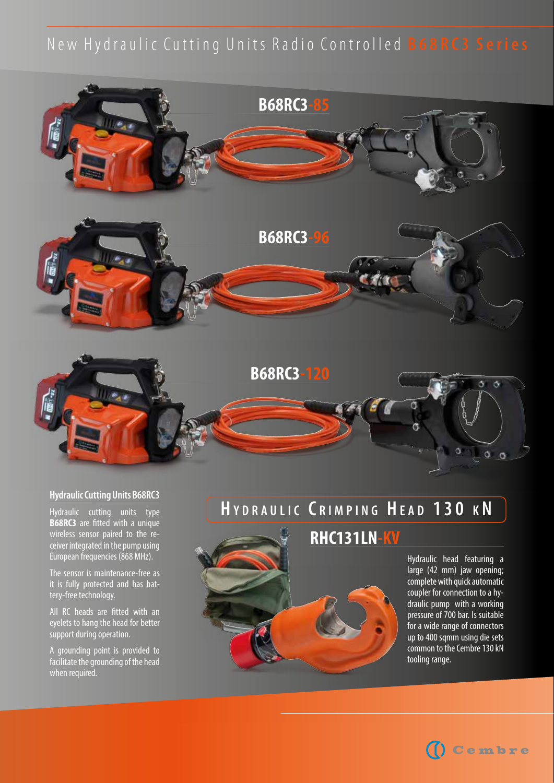## New Hydraulic Cutting Units Radio Controlled **B68RC3 Series**



## **Hydraulic Cutting Units B68RC3**

Hydraulic cutting units type **B68RC3** are fitted with a unique wireless sensor paired to the receiver integrated in the pump using European frequencies (868 MHz).

The sensor is maintenance-free as it is fully protected and has battery-free technology.

All RC heads are fitted with an eyelets to hang the head for better support during operation.

A grounding point is provided to facilitate the grounding of the head when required.

# **H y d r <sup>a</sup> u l i c C r i m p i n g H <sup>e</sup> <sup>a</sup> d 1 3 0 k N**

## **RHC131LN-KV**



Hydraulic head featuring a large (42 mm) jaw opening; complete with quick automatic coupler for connection to a hydraulic pump with a working pressure of 700 bar. Is suitable for a wide range of connectors up to 400 sqmm using die sets common to the Cembre 130 kN tooling range.